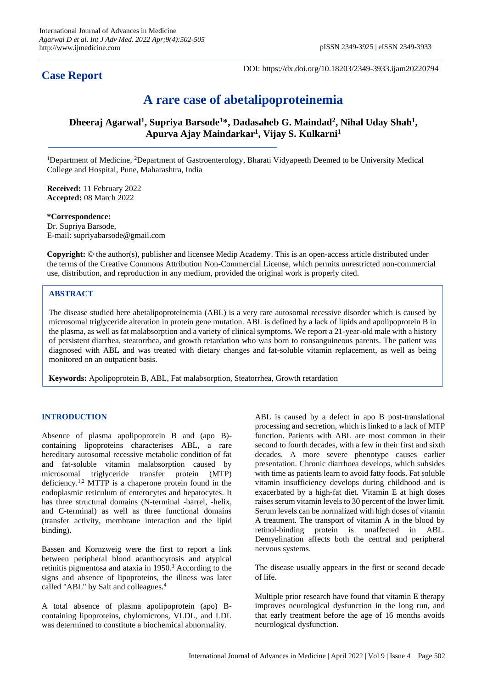# **Case Report**

DOI: https://dx.doi.org/10.18203/2349-3933.ijam20220794

# **A rare case of abetalipoproteinemia**

**Dheeraj Agarwal<sup>1</sup> , Supriya Barsode<sup>1</sup>\*, Dadasaheb G. Maindad<sup>2</sup> , Nihal Uday Shah<sup>1</sup> , Apurva Ajay Maindarkar<sup>1</sup> , Vijay S. Kulkarni<sup>1</sup>**

<sup>1</sup>Department of Medicine, <sup>2</sup>Department of Gastroenterology, Bharati Vidyapeeth Deemed to be University Medical College and Hospital, Pune, Maharashtra, India

**Received:** 11 February 2022 **Accepted:** 08 March 2022

**\*Correspondence:** Dr. Supriya Barsode, E-mail: supriyabarsode@gmail.com

**Copyright:** © the author(s), publisher and licensee Medip Academy. This is an open-access article distributed under the terms of the Creative Commons Attribution Non-Commercial License, which permits unrestricted non-commercial use, distribution, and reproduction in any medium, provided the original work is properly cited.

# **ABSTRACT**

The disease studied here abetalipoproteinemia (ABL) is a very rare autosomal recessive disorder which is caused by microsomal triglyceride alteration in protein gene mutation. ABL is defined by a lack of lipids and apolipoprotein B in the plasma, as well as fat malabsorption and a variety of clinical symptoms. We report a 21-year-old male with a history of persistent diarrhea, steatorrhea, and growth retardation who was born to consanguineous parents. The patient was diagnosed with ABL and was treated with dietary changes and fat-soluble vitamin replacement, as well as being monitored on an outpatient basis.

**Keywords:** Apolipoprotein B, ABL, Fat malabsorption, Steatorrhea, Growth retardation

# **INTRODUCTION**

Absence of plasma apolipoprotein B and (apo B) containing lipoproteins characterises ABL, a rare hereditary autosomal recessive metabolic condition of fat and fat-soluble vitamin malabsorption caused by microsomal triglyceride transfer protein (MTP) deficiency.<sup>1,2</sup> MTTP is a chaperone protein found in the endoplasmic reticulum of enterocytes and hepatocytes. It has three structural domains (N-terminal -barrel, -helix, and C-terminal) as well as three functional domains (transfer activity, membrane interaction and the lipid binding).

Bassen and Kornzweig were the first to report a link between peripheral blood acanthocytosis and atypical retinitis pigmentosa and ataxia in 1950.<sup>3</sup> According to the signs and absence of lipoproteins, the illness was later called "ABL" by Salt and colleagues.<sup>4</sup>

A total absence of plasma apolipoprotein (apo) Bcontaining lipoproteins, chylomicrons, VLDL, and LDL was determined to constitute a biochemical abnormality.

ABL is caused by a defect in apo B post-translational processing and secretion, which is linked to a lack of MTP function. Patients with ABL are most common in their second to fourth decades, with a few in their first and sixth decades. A more severe phenotype causes earlier presentation. Chronic diarrhoea develops, which subsides with time as patients learn to avoid fatty foods. Fat soluble vitamin insufficiency develops during childhood and is exacerbated by a high-fat diet. Vitamin E at high doses raises serum vitamin levels to 30 percent of the lower limit. Serum levels can be normalized with high doses of vitamin A treatment. The transport of vitamin A in the blood by retinol-binding protein is unaffected in ABL. Demyelination affects both the central and peripheral nervous systems.

The disease usually appears in the first or second decade of life.

Multiple prior research have found that vitamin E therapy improves neurological dysfunction in the long run, and that early treatment before the age of 16 months avoids neurological dysfunction.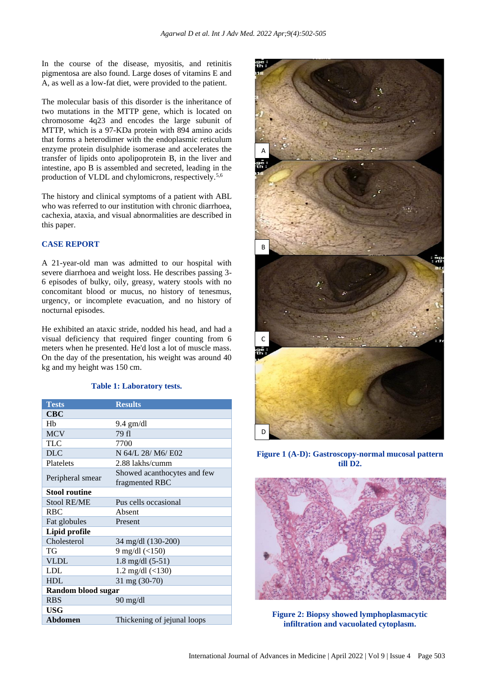In the course of the disease, myositis, and retinitis pigmentosa are also found. Large doses of vitamins E and A, as well as a low-fat diet, were provided to the patient.

The molecular basis of this disorder is the inheritance of two mutations in the MTTP gene, which is located on chromosome 4q23 and encodes the large subunit of MTTP, which is a 97-KDa protein with 894 amino acids that forms a heterodimer with the endoplasmic reticulum enzyme protein disulphide isomerase and accelerates the transfer of lipids onto apolipoprotein B, in the liver and intestine, apo B is assembled and secreted, leading in the production of VLDL and chylomicrons, respectively.<sup>5,6</sup>

The history and clinical symptoms of a patient with ABL who was referred to our institution with chronic diarrhoea, cachexia, ataxia, and visual abnormalities are described in this paper.

# **CASE REPORT**

A 21-year-old man was admitted to our hospital with severe diarrhoea and weight loss. He describes passing 3- 6 episodes of bulky, oily, greasy, watery stools with no concomitant blood or mucus, no history of tenesmus, urgency, or incomplete evacuation, and no history of nocturnal episodes.

He exhibited an ataxic stride, nodded his head, and had a visual deficiency that required finger counting from 6 meters when he presented. He'd lost a lot of muscle mass. On the day of the presentation, his weight was around 40 kg and my height was 150 cm.

#### **Table 1: Laboratory tests.**

| <b>Tests</b>         | <b>Results</b>              |
|----------------------|-----------------------------|
| $_{\rm CBC}$         |                             |
| Hh                   | $9.4$ gm/dl                 |
| <b>MCV</b>           | 79 fl                       |
| TLC                  | 7700                        |
| <b>DLC</b>           | N 64/L 28/ M6/ E02          |
| Platelets            | 2.88 lakhs/cumm             |
| Peripheral smear     | Showed acanthocytes and few |
|                      | fragmented RBC              |
| <b>Stool routine</b> |                             |
| <b>Stool RE/ME</b>   | Pus cells occasional        |
| <b>RBC</b>           | Absent                      |
| Fat globules         | Present                     |
| Lipid profile        |                             |
| Cholesterol          | 34 mg/dl (130-200)          |
| TG                   | 9 mg/dl $($ <150)           |
| <b>VLDL</b>          | $1.8 \text{ mg/dl} (5-51)$  |
| <b>LDL</b>           | 1.2 mg/dl $($ <130)         |
| <b>HDL</b>           | 31 mg (30-70)               |
| Random blood sugar   |                             |
| <b>RBS</b>           | $90 \text{ mg/dl}$          |
| USG                  |                             |
| Abdomen              | Thickening of jejunal loops |



**Figure 1 (A-D): Gastroscopy-normal mucosal pattern till D2.**



**Figure 2: Biopsy showed lymphoplasmacytic infiltration and vacuolated cytoplasm.**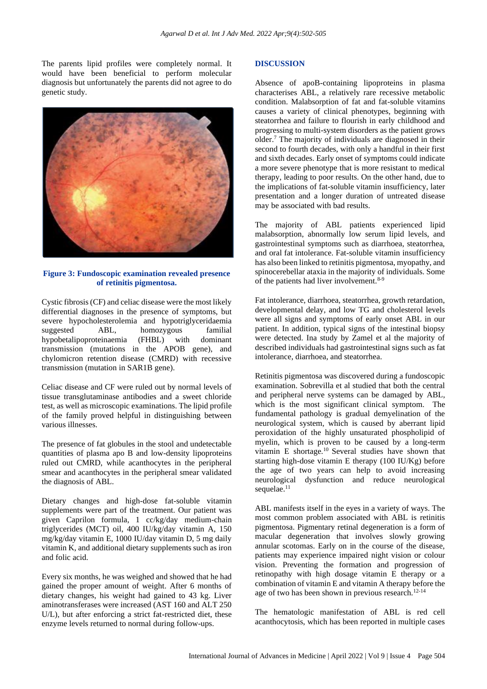The parents lipid profiles were completely normal. It would have been beneficial to perform molecular diagnosis but unfortunately the parents did not agree to do genetic study.



## **Figure 3: Fundoscopic examination revealed presence of retinitis pigmentosa.**

Cystic fibrosis (CF) and celiac disease were the most likely differential diagnoses in the presence of symptoms, but severe hypocholesterolemia and hypotriglyceridaemia suggested ABL, homozygous familial hypobetalipoproteinaemia (FHBL) with dominant transmission (mutations in the APOB gene), and chylomicron retention disease (CMRD) with recessive transmission (mutation in SAR1B gene).

Celiac disease and CF were ruled out by normal levels of tissue transglutaminase antibodies and a sweet chloride test, as well as microscopic examinations. The lipid profile of the family proved helpful in distinguishing between various illnesses.

The presence of fat globules in the stool and undetectable quantities of plasma apo B and low-density lipoproteins ruled out CMRD, while acanthocytes in the peripheral smear and acanthocytes in the peripheral smear validated the diagnosis of ABL.

Dietary changes and high-dose fat-soluble vitamin supplements were part of the treatment. Our patient was given Caprilon formula, 1 cc/kg/day medium-chain triglycerides (MCT) oil, 400 IU/kg/day vitamin A, 150 mg/kg/day vitamin E, 1000 IU/day vitamin D, 5 mg daily vitamin K, and additional dietary supplements such as iron and folic acid.

Every six months, he was weighed and showed that he had gained the proper amount of weight. After 6 months of dietary changes, his weight had gained to 43 kg. Liver aminotransferases were increased (AST 160 and ALT 250 U/L), but after enforcing a strict fat-restricted diet, these enzyme levels returned to normal during follow-ups.

#### **DISCUSSION**

Absence of apoB-containing lipoproteins in plasma characterises ABL, a relatively rare recessive metabolic condition. Malabsorption of fat and fat-soluble vitamins causes a variety of clinical phenotypes, beginning with steatorrhea and failure to flourish in early childhood and progressing to multi-system disorders as the patient grows older.<sup>7</sup> The majority of individuals are diagnosed in their second to fourth decades, with only a handful in their first and sixth decades. Early onset of symptoms could indicate a more severe phenotype that is more resistant to medical therapy, leading to poor results. On the other hand, due to the implications of fat-soluble vitamin insufficiency, later presentation and a longer duration of untreated disease may be associated with bad results.

The majority of ABL patients experienced lipid malabsorption, abnormally low serum lipid levels, and gastrointestinal symptoms such as diarrhoea, steatorrhea, and oral fat intolerance. Fat-soluble vitamin insufficiency has also been linked to retinitis pigmentosa, myopathy, and spinocerebellar ataxia in the majority of individuals. Some of the patients had liver involvement.<sup>8-9</sup>

Fat intolerance, diarrhoea, steatorrhea, growth retardation, developmental delay, and low TG and cholesterol levels were all signs and symptoms of early onset ABL in our patient. In addition, typical signs of the intestinal biopsy were detected. Ina study by Zamel et al the majority of described individuals had gastrointestinal signs such as fat intolerance, diarrhoea, and steatorrhea.

Retinitis pigmentosa was discovered during a fundoscopic examination. Sobrevilla et al studied that both the central and peripheral nerve systems can be damaged by ABL, which is the most significant clinical symptom. The fundamental pathology is gradual demyelination of the neurological system, which is caused by aberrant lipid peroxidation of the highly unsaturated phospholipid of myelin, which is proven to be caused by a long-term vitamin E shortage.<sup>10</sup> Several studies have shown that starting high-dose vitamin E therapy (100 IU/Kg) before the age of two years can help to avoid increasing neurological dysfunction and reduce neurological sequelae.<sup>11</sup>

ABL manifests itself in the eyes in a variety of ways. The most common problem associated with ABL is retinitis pigmentosa. Pigmentary retinal degeneration is a form of macular degeneration that involves slowly growing annular scotomas. Early on in the course of the disease, patients may experience impaired night vision or colour vision. Preventing the formation and progression of retinopathy with high dosage vitamin E therapy or a combination of vitamin E and vitamin A therapy before the age of two has been shown in previous research. $12-14$ 

The hematologic manifestation of ABL is red cell acanthocytosis, which has been reported in multiple cases